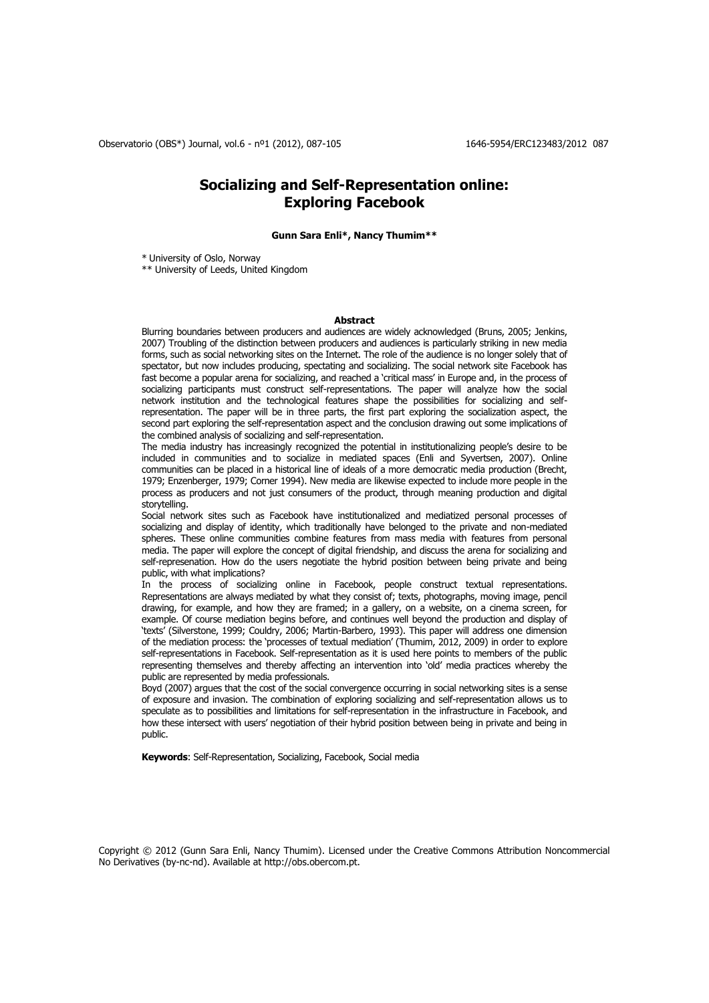# **Socializing and Self-Representation online: Exploring Facebook**

### **Gunn Sara Enli\*, Nancy Thumim\*\***

\* University of Oslo, Norway

\*\* University of Leeds, United Kingdom

#### **Abstract**

Blurring boundaries between producers and audiences are widely acknowledged (Bruns, 2005; Jenkins, 2007) Troubling of the distinction between producers and audiences is particularly striking in new media forms, such as social networking sites on the Internet. The role of the audience is no longer solely that of spectator, but now includes producing, spectating and socializing. The social network site Facebook has fast become a popular arena for socializing, and reached a 'critical mass' in Europe and, in the process of socializing participants must construct self-representations. The paper will analyze how the social network institution and the technological features shape the possibilities for socializing and selfrepresentation. The paper will be in three parts, the first part exploring the socialization aspect, the second part exploring the self-representation aspect and the conclusion drawing out some implications of the combined analysis of socializing and self-representation.

The media industry has increasingly recognized the potential in institutionalizing people's desire to be included in communities and to socialize in mediated spaces (Enli and Syvertsen, 2007). Online communities can be placed in a historical line of ideals of a more democratic media production (Brecht, 1979; Enzenberger, 1979; Corner 1994). New media are likewise expected to include more people in the process as producers and not just consumers of the product, through meaning production and digital storytelling.

Social network sites such as Facebook have institutionalized and mediatized personal processes of socializing and display of identity, which traditionally have belonged to the private and non-mediated spheres. These online communities combine features from mass media with features from personal media. The paper will explore the concept of digital friendship, and discuss the arena for socializing and self-represenation. How do the users negotiate the hybrid position between being private and being public, with what implications?

In the process of socializing online in Facebook, people construct textual representations. Representations are always mediated by what they consist of; texts, photographs, moving image, pencil drawing, for example, and how they are framed; in a gallery, on a website, on a cinema screen, for example. Of course mediation begins before, and continues well beyond the production and display of 'texts' (Silverstone, 1999; Couldry, 2006; Martin-Barbero, 1993). This paper will address one dimension of the mediation process: the 'processes of textual mediation' (Thumim, 2012, 2009) in order to explore self-representations in Facebook. Self-representation as it is used here points to members of the public representing themselves and thereby affecting an intervention into 'old' media practices whereby the public are represented by media professionals.

Boyd (2007) argues that the cost of the social convergence occurring in social networking sites is a sense of exposure and invasion. The combination of exploring socializing and self-representation allows us to speculate as to possibilities and limitations for self-representation in the infrastructure in Facebook, and how these intersect with users' negotiation of their hybrid position between being in private and being in public.

**Keywords**: Self-Representation, Socializing, Facebook, Social media

Copyright © 2012 (Gunn Sara Enli, Nancy Thumim). Licensed under the Creative Commons Attribution Noncommercial No Derivatives (by-nc-nd). Available at http://obs.obercom.pt.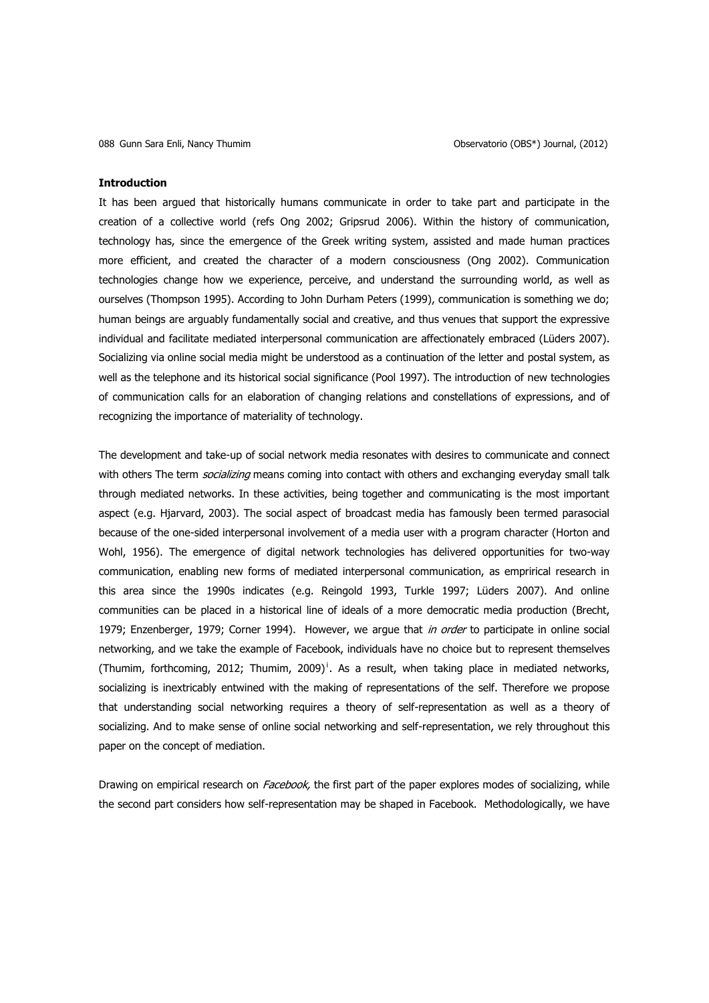#### **Introduction**

It has been argued that historically humans communicate in order to take part and participate in the creation of a collective world (refs Ong 2002; Gripsrud 2006). Within the history of communication, technology has, since the emergence of the Greek writing system, assisted and made human practices more efficient, and created the character of a modern consciousness (Ong 2002). Communication technologies change how we experience, perceive, and understand the surrounding world, as well as ourselves (Thompson 1995). According to John Durham Peters (1999), communication is something we do; human beings are arguably fundamentally social and creative, and thus venues that support the expressive individual and facilitate mediated interpersonal communication are affectionately embraced (Lüders 2007). Socializing via online social media might be understood as a continuation of the letter and postal system, as well as the telephone and its historical social significance (Pool 1997). The introduction of new technologies of communication calls for an elaboration of changing relations and constellations of expressions, and of recognizing the importance of materiality of technology.

The development and take-up of social network media resonates with desires to communicate and connect with others The term *socializing* means coming into contact with others and exchanging everyday small talk through mediated networks. In these activities, being together and communicating is the most important aspect (e.g. Hjarvard, 2003). The social aspect of broadcast media has famously been termed parasocial because of the one-sided interpersonal involvement of a media user with a program character (Horton and Wohl, 1956). The emergence of digital network technologies has delivered opportunities for two-way communication, enabling new forms of mediated interpersonal communication, as emprirical research in this area since the 1990s indicates (e.g. Reingold 1993, Turkle 1997; Lüders 2007). And online communities can be placed in a historical line of ideals of a more democratic media production (Brecht, 1979; Enzenberger, 1979; Corner 1994). However, we argue that in order to participate in online social networking, and we take the example of Facebook, individuals have no choice but to represent themselves (Thumim, forthcoming, 2012; Thumim, 2009)<sup>1</sup>. As a result, when taking place in mediated networks, socializing is inextricably entwined with the making of representations of the self. Therefore we propose that understanding social networking requires a theory of self-representation as well as a theory of socializing. And to make sense of online social networking and self-representation, we rely throughout this paper on the concept of mediation.

Drawing on empirical research on *Facebook*, the first part of the paper explores modes of socializing, while the second part considers how self-representation may be shaped in Facebook. Methodologically, we have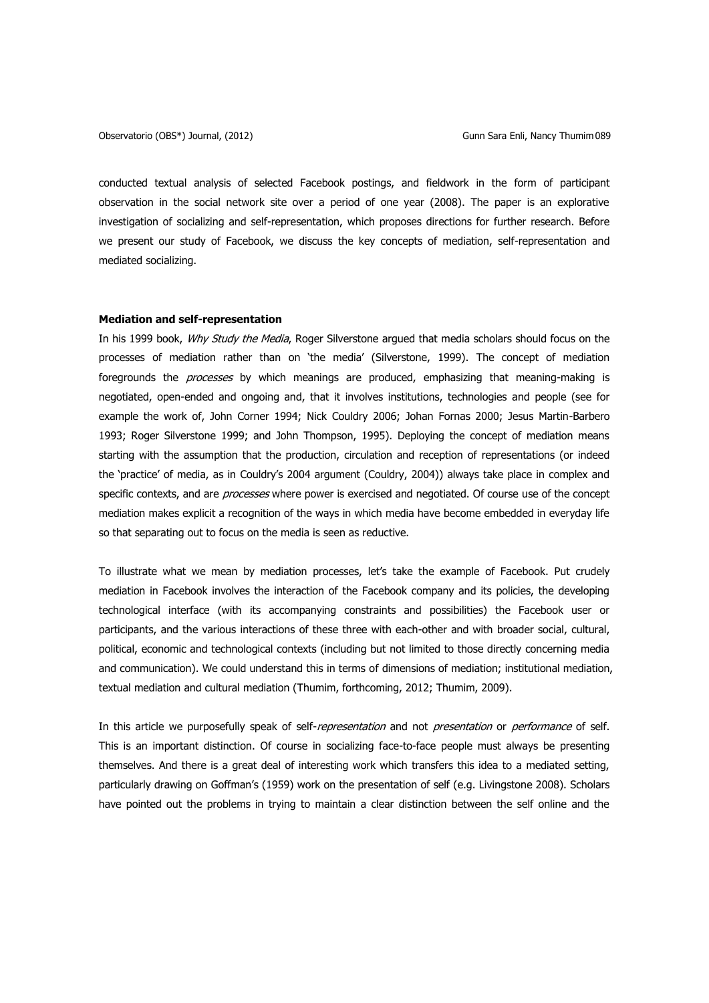conducted textual analysis of selected Facebook postings, and fieldwork in the form of participant observation in the social network site over a period of one year (2008). The paper is an explorative investigation of socializing and self-representation, which proposes directions for further research. Before we present our study of Facebook, we discuss the key concepts of mediation, self-representation and mediated socializing.

### **Mediation and self-representation**

In his 1999 book, Why Study the Media, Roger Silverstone argued that media scholars should focus on the processes of mediation rather than on 'the media' (Silverstone, 1999). The concept of mediation foregrounds the *processes* by which meanings are produced, emphasizing that meaning-making is negotiated, open-ended and ongoing and, that it involves institutions, technologies and people (see for example the work of, John Corner 1994; Nick Couldry 2006; Johan Fornas 2000; Jesus Martin-Barbero 1993; Roger Silverstone 1999; and John Thompson, 1995). Deploying the concept of mediation means starting with the assumption that the production, circulation and reception of representations (or indeed the 'practice' of media, as in Couldry's 2004 argument (Couldry, 2004)) always take place in complex and specific contexts, and are *processes* where power is exercised and negotiated. Of course use of the concept mediation makes explicit a recognition of the ways in which media have become embedded in everyday life so that separating out to focus on the media is seen as reductive.

To illustrate what we mean by mediation processes, let's take the example of Facebook. Put crudely mediation in Facebook involves the interaction of the Facebook company and its policies, the developing technological interface (with its accompanying constraints and possibilities) the Facebook user or participants, and the various interactions of these three with each-other and with broader social, cultural, political, economic and technological contexts (including but not limited to those directly concerning media and communication). We could understand this in terms of dimensions of mediation; institutional mediation, textual mediation and cultural mediation (Thumim, forthcoming, 2012; Thumim, 2009).

In this article we purposefully speak of self-representation and not presentation or performance of self. This is an important distinction. Of course in socializing face-to-face people must always be presenting themselves. And there is a great deal of interesting work which transfers this idea to a mediated setting, particularly drawing on Goffman's (1959) work on the presentation of self (e.g. Livingstone 2008). Scholars have pointed out the problems in trying to maintain a clear distinction between the self online and the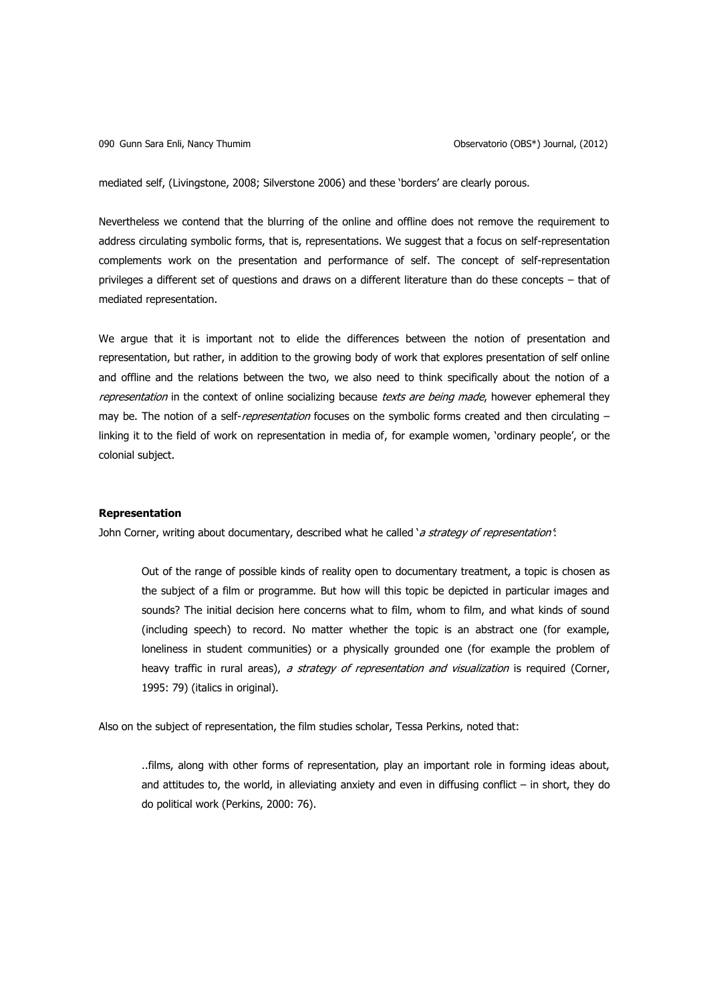mediated self, (Livingstone, 2008; Silverstone 2006) and these 'borders' are clearly porous.

Nevertheless we contend that the blurring of the online and offline does not remove the requirement to address circulating symbolic forms, that is, representations. We suggest that a focus on self-representation complements work on the presentation and performance of self. The concept of self-representation privileges a different set of questions and draws on a different literature than do these concepts – that of mediated representation.

We argue that it is important not to elide the differences between the notion of presentation and representation, but rather, in addition to the growing body of work that explores presentation of self online and offline and the relations between the two, we also need to think specifically about the notion of a representation in the context of online socializing because texts are being made, however ephemeral they may be. The notion of a self-representation focuses on the symbolic forms created and then circulating linking it to the field of work on representation in media of, for example women, 'ordinary people', or the colonial subject.

### **Representation**

John Corner, writing about documentary, described what he called 'a strategy of representation'.

Out of the range of possible kinds of reality open to documentary treatment, a topic is chosen as the subject of a film or programme. But how will this topic be depicted in particular images and sounds? The initial decision here concerns what to film, whom to film, and what kinds of sound (including speech) to record. No matter whether the topic is an abstract one (for example, loneliness in student communities) or a physically grounded one (for example the problem of heavy traffic in rural areas), a strategy of representation and visualization is required (Corner, 1995: 79) (italics in original).

Also on the subject of representation, the film studies scholar, Tessa Perkins, noted that:

..films, along with other forms of representation, play an important role in forming ideas about, and attitudes to, the world, in alleviating anxiety and even in diffusing conflict – in short, they do do political work (Perkins, 2000: 76).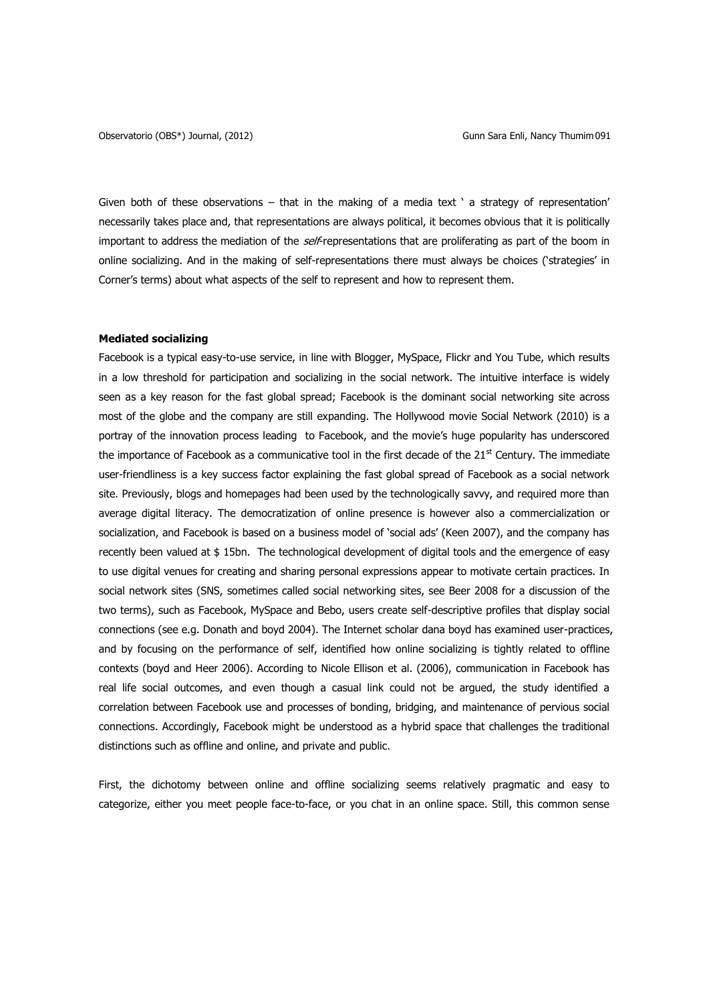Given both of these observations – that in the making of a media text ' a strategy of representation' necessarily takes place and, that representations are always political, it becomes obvious that it is politically important to address the mediation of the self-representations that are proliferating as part of the boom in online socializing. And in the making of self-representations there must always be choices ('strategies' in Corner's terms) about what aspects of the self to represent and how to represent them.

### **Mediated socializing**

Facebook is a typical easy-to-use service, in line with Blogger, MySpace, Flickr and You Tube, which results in a low threshold for participation and socializing in the social network. The intuitive interface is widely seen as a key reason for the fast global spread; Facebook is the dominant social networking site across most of the globe and the company are still expanding. The Hollywood movie Social Network (2010) is a portray of the innovation process leading to Facebook, and the movie's huge popularity has underscored the importance of Facebook as a communicative tool in the first decade of the  $21^{st}$  Century. The immediate user-friendliness is a key success factor explaining the fast global spread of Facebook as a social network site. Previously, blogs and homepages had been used by the technologically savvy, and required more than average digital literacy. The democratization of online presence is however also a commercialization or socialization, and Facebook is based on a business model of 'social ads' (Keen 2007), and the company has recently been valued at \$ 15bn. The technological development of digital tools and the emergence of easy to use digital venues for creating and sharing personal expressions appear to motivate certain practices. In social network sites (SNS, sometimes called social networking sites, see Beer 2008 for a discussion of the two terms), such as Facebook, MySpace and Bebo, users create self-descriptive profiles that display social connections (see e.g. Donath and boyd 2004). The Internet scholar dana boyd has examined user-practices, and by focusing on the performance of self, identified how online socializing is tightly related to offline contexts (boyd and Heer 2006). According to Nicole Ellison et al. (2006), communication in Facebook has real life social outcomes, and even though a casual link could not be argued, the study identified a correlation between Facebook use and processes of bonding, bridging, and maintenance of pervious social connections. Accordingly, Facebook might be understood as a hybrid space that challenges the traditional distinctions such as offline and online, and private and public.

First, the dichotomy between online and offline socializing seems relatively pragmatic and easy to categorize, either you meet people face-to-face, or you chat in an online space. Still, this common sense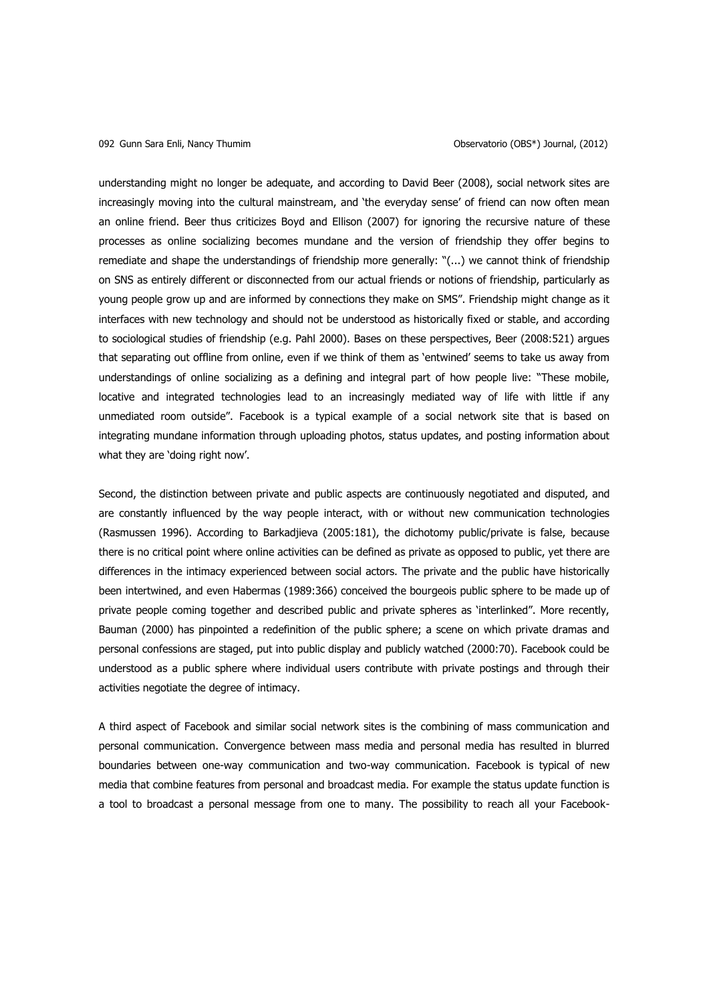understanding might no longer be adequate, and according to David Beer (2008), social network sites are increasingly moving into the cultural mainstream, and 'the everyday sense' of friend can now often mean an online friend. Beer thus criticizes Boyd and Ellison (2007) for ignoring the recursive nature of these processes as online socializing becomes mundane and the version of friendship they offer begins to remediate and shape the understandings of friendship more generally: "(...) we cannot think of friendship on SNS as entirely different or disconnected from our actual friends or notions of friendship, particularly as young people grow up and are informed by connections they make on SMS". Friendship might change as it interfaces with new technology and should not be understood as historically fixed or stable, and according to sociological studies of friendship (e.g. Pahl 2000). Bases on these perspectives, Beer (2008:521) argues that separating out offline from online, even if we think of them as 'entwined' seems to take us away from understandings of online socializing as a defining and integral part of how people live: "These mobile, locative and integrated technologies lead to an increasingly mediated way of life with little if any unmediated room outside". Facebook is a typical example of a social network site that is based on integrating mundane information through uploading photos, status updates, and posting information about what they are 'doing right now'.

Second, the distinction between private and public aspects are continuously negotiated and disputed, and are constantly influenced by the way people interact, with or without new communication technologies (Rasmussen 1996). According to Barkadjieva (2005:181), the dichotomy public/private is false, because there is no critical point where online activities can be defined as private as opposed to public, yet there are differences in the intimacy experienced between social actors. The private and the public have historically been intertwined, and even Habermas (1989:366) conceived the bourgeois public sphere to be made up of private people coming together and described public and private spheres as 'interlinked". More recently, Bauman (2000) has pinpointed a redefinition of the public sphere; a scene on which private dramas and personal confessions are staged, put into public display and publicly watched (2000:70). Facebook could be understood as a public sphere where individual users contribute with private postings and through their activities negotiate the degree of intimacy.

A third aspect of Facebook and similar social network sites is the combining of mass communication and personal communication. Convergence between mass media and personal media has resulted in blurred boundaries between one-way communication and two-way communication. Facebook is typical of new media that combine features from personal and broadcast media. For example the status update function is a tool to broadcast a personal message from one to many. The possibility to reach all your Facebook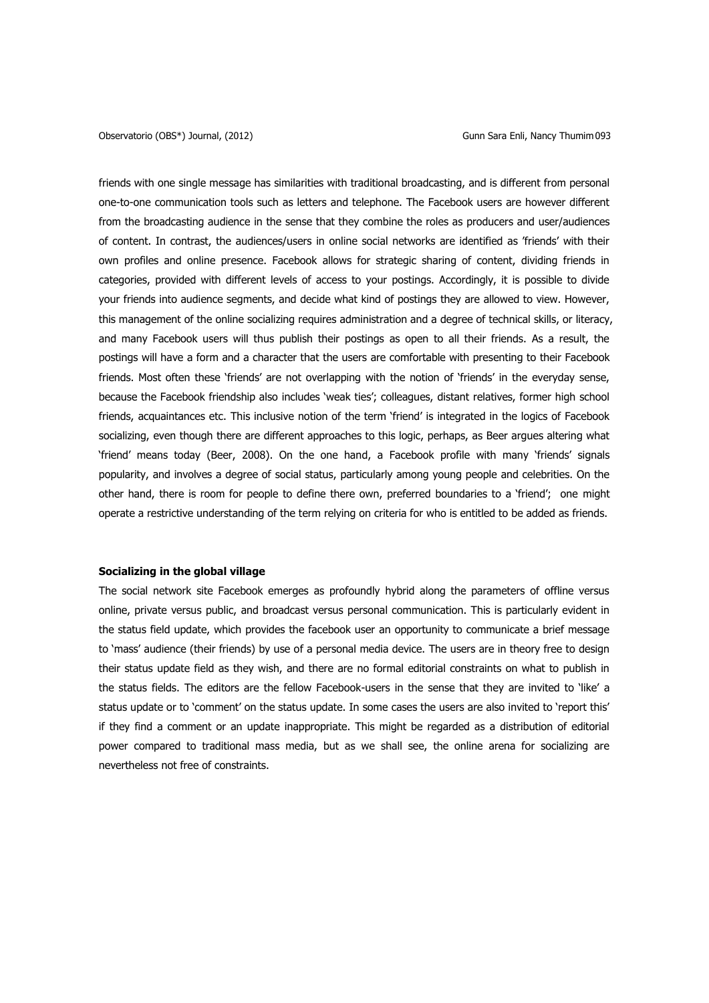friends with one single message has similarities with traditional broadcasting, and is different from personal one-to-one communication tools such as letters and telephone. The Facebook users are however different from the broadcasting audience in the sense that they combine the roles as producers and user/audiences of content. In contrast, the audiences/users in online social networks are identified as 'friends' with their own profiles and online presence. Facebook allows for strategic sharing of content, dividing friends in categories, provided with different levels of access to your postings. Accordingly, it is possible to divide your friends into audience segments, and decide what kind of postings they are allowed to view. However, this management of the online socializing requires administration and a degree of technical skills, or literacy, and many Facebook users will thus publish their postings as open to all their friends. As a result, the postings will have a form and a character that the users are comfortable with presenting to their Facebook friends. Most often these 'friends' are not overlapping with the notion of 'friends' in the everyday sense, because the Facebook friendship also includes 'weak ties'; colleagues, distant relatives, former high school friends, acquaintances etc. This inclusive notion of the term 'friend' is integrated in the logics of Facebook socializing, even though there are different approaches to this logic, perhaps, as Beer argues altering what 'friend' means today (Beer, 2008). On the one hand, a Facebook profile with many 'friends' signals popularity, and involves a degree of social status, particularly among young people and celebrities. On the other hand, there is room for people to define there own, preferred boundaries to a 'friend'; one might operate a restrictive understanding of the term relying on criteria for who is entitled to be added as friends.

### **Socializing in the global village**

The social network site Facebook emerges as profoundly hybrid along the parameters of offline versus online, private versus public, and broadcast versus personal communication. This is particularly evident in the status field update, which provides the facebook user an opportunity to communicate a brief message to 'mass' audience (their friends) by use of a personal media device. The users are in theory free to design their status update field as they wish, and there are no formal editorial constraints on what to publish in the status fields. The editors are the fellow Facebook-users in the sense that they are invited to 'like' a status update or to 'comment' on the status update. In some cases the users are also invited to 'report this' if they find a comment or an update inappropriate. This might be regarded as a distribution of editorial power compared to traditional mass media, but as we shall see, the online arena for socializing are nevertheless not free of constraints.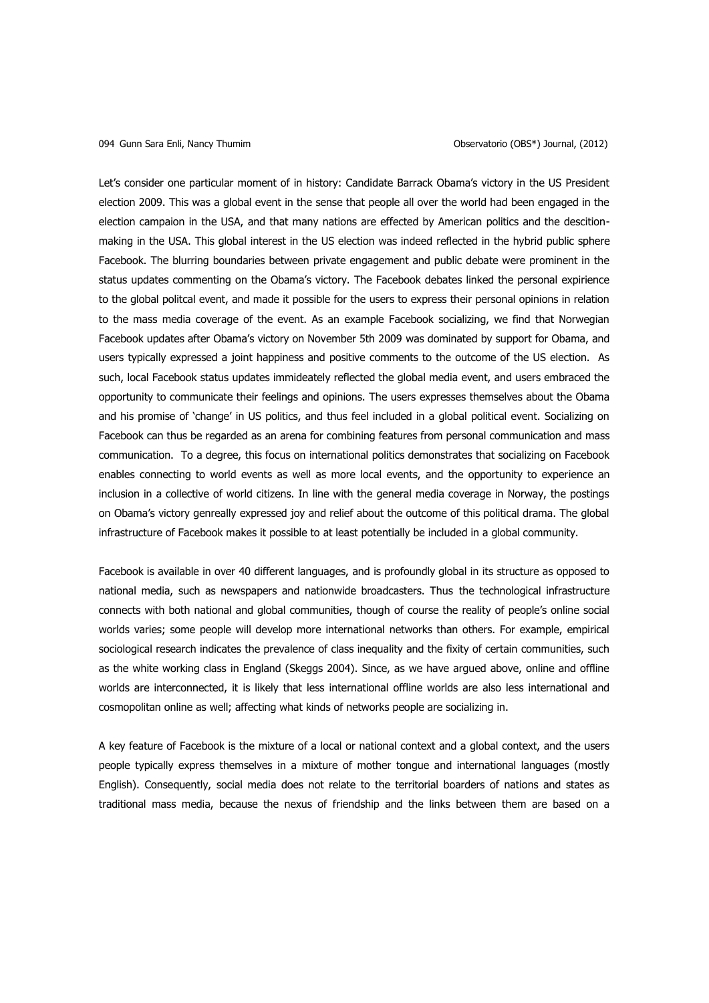Let's consider one particular moment of in history: Candidate Barrack Obama's victory in the US President election 2009. This was a global event in the sense that people all over the world had been engaged in the election campaion in the USA, and that many nations are effected by American politics and the descitionmaking in the USA. This global interest in the US election was indeed reflected in the hybrid public sphere Facebook. The blurring boundaries between private engagement and public debate were prominent in the status updates commenting on the Obama's victory. The Facebook debates linked the personal expirience to the global politcal event, and made it possible for the users to express their personal opinions in relation to the mass media coverage of the event. As an example Facebook socializing, we find that Norwegian Facebook updates after Obama's victory on November 5th 2009 was dominated by support for Obama, and users typically expressed a joint happiness and positive comments to the outcome of the US election. As such, local Facebook status updates immideately reflected the global media event, and users embraced the opportunity to communicate their feelings and opinions. The users expresses themselves about the Obama and his promise of 'change' in US politics, and thus feel included in a global political event. Socializing on Facebook can thus be regarded as an arena for combining features from personal communication and mass communication. To a degree, this focus on international politics demonstrates that socializing on Facebook enables connecting to world events as well as more local events, and the opportunity to experience an inclusion in a collective of world citizens. In line with the general media coverage in Norway, the postings on Obama's victory genreally expressed joy and relief about the outcome of this political drama. The global infrastructure of Facebook makes it possible to at least potentially be included in a global community.

Facebook is available in over 40 different languages, and is profoundly global in its structure as opposed to national media, such as newspapers and nationwide broadcasters. Thus the technological infrastructure connects with both national and global communities, though of course the reality of people's online social worlds varies; some people will develop more international networks than others. For example, empirical sociological research indicates the prevalence of class inequality and the fixity of certain communities, such as the white working class in England (Skeggs 2004). Since, as we have argued above, online and offline worlds are interconnected, it is likely that less international offline worlds are also less international and cosmopolitan online as well; affecting what kinds of networks people are socializing in.

A key feature of Facebook is the mixture of a local or national context and a global context, and the users people typically express themselves in a mixture of mother tongue and international languages (mostly English). Consequently, social media does not relate to the territorial boarders of nations and states as traditional mass media, because the nexus of friendship and the links between them are based on a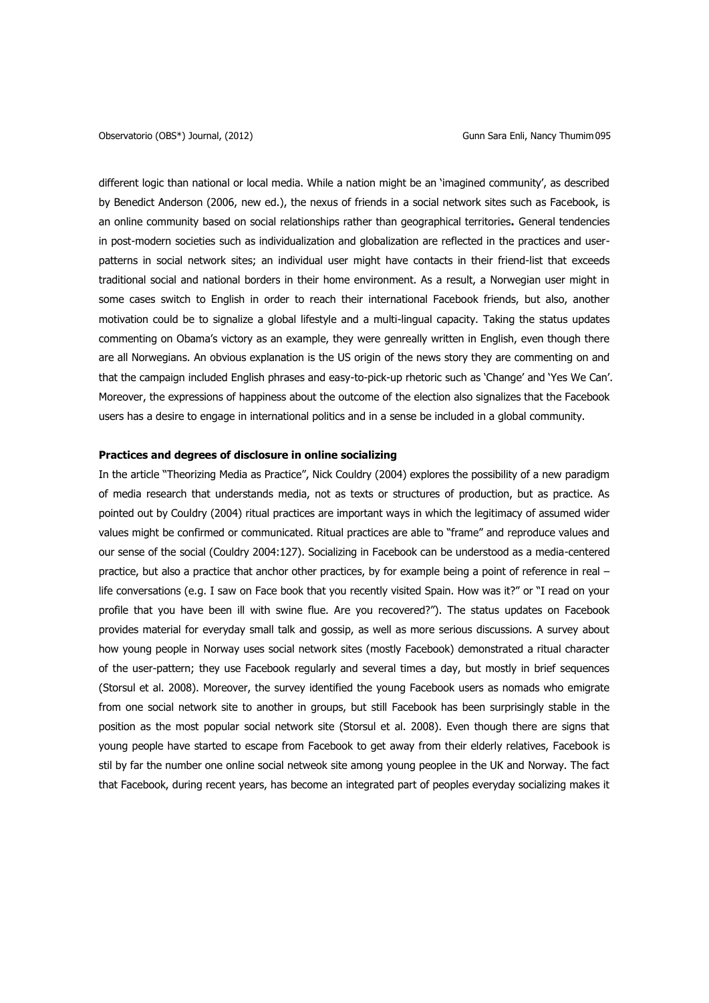different logic than national or local media. While a nation might be an 'imagined community', as described by Benedict Anderson (2006, new ed.), the nexus of friends in a social network sites such as Facebook, is an online community based on social relationships rather than geographical territories**.** General tendencies in post-modern societies such as individualization and globalization are reflected in the practices and userpatterns in social network sites; an individual user might have contacts in their friend-list that exceeds traditional social and national borders in their home environment. As a result, a Norwegian user might in some cases switch to English in order to reach their international Facebook friends, but also, another motivation could be to signalize a global lifestyle and a multi-lingual capacity. Taking the status updates commenting on Obama's victory as an example, they were genreally written in English, even though there are all Norwegians. An obvious explanation is the US origin of the news story they are commenting on and that the campaign included English phrases and easy-to-pick-up rhetoric such as 'Change' and 'Yes We Can'. Moreover, the expressions of happiness about the outcome of the election also signalizes that the Facebook users has a desire to engage in international politics and in a sense be included in a global community.

# **Practices and degrees of disclosure in online socializing**

In the article "Theorizing Media as Practice", Nick Couldry (2004) explores the possibility of a new paradigm of media research that understands media, not as texts or structures of production, but as practice. As pointed out by Couldry (2004) ritual practices are important ways in which the legitimacy of assumed wider values might be confirmed or communicated. Ritual practices are able to "frame" and reproduce values and our sense of the social (Couldry 2004:127). Socializing in Facebook can be understood as a media-centered practice, but also a practice that anchor other practices, by for example being a point of reference in real – life conversations (e.g. I saw on Face book that you recently visited Spain. How was it?" or "I read on your profile that you have been ill with swine flue. Are you recovered?"). The status updates on Facebook provides material for everyday small talk and gossip, as well as more serious discussions. A survey about how young people in Norway uses social network sites (mostly Facebook) demonstrated a ritual character of the user-pattern; they use Facebook regularly and several times a day, but mostly in brief sequences (Storsul et al. 2008). Moreover, the survey identified the young Facebook users as nomads who emigrate from one social network site to another in groups, but still Facebook has been surprisingly stable in the position as the most popular social network site (Storsul et al. 2008). Even though there are signs that young people have started to escape from Facebook to get away from their elderly relatives, Facebook is stil by far the number one online social netweok site among young peoplee in the UK and Norway. The fact that Facebook, during recent years, has become an integrated part of peoples everyday socializing makes it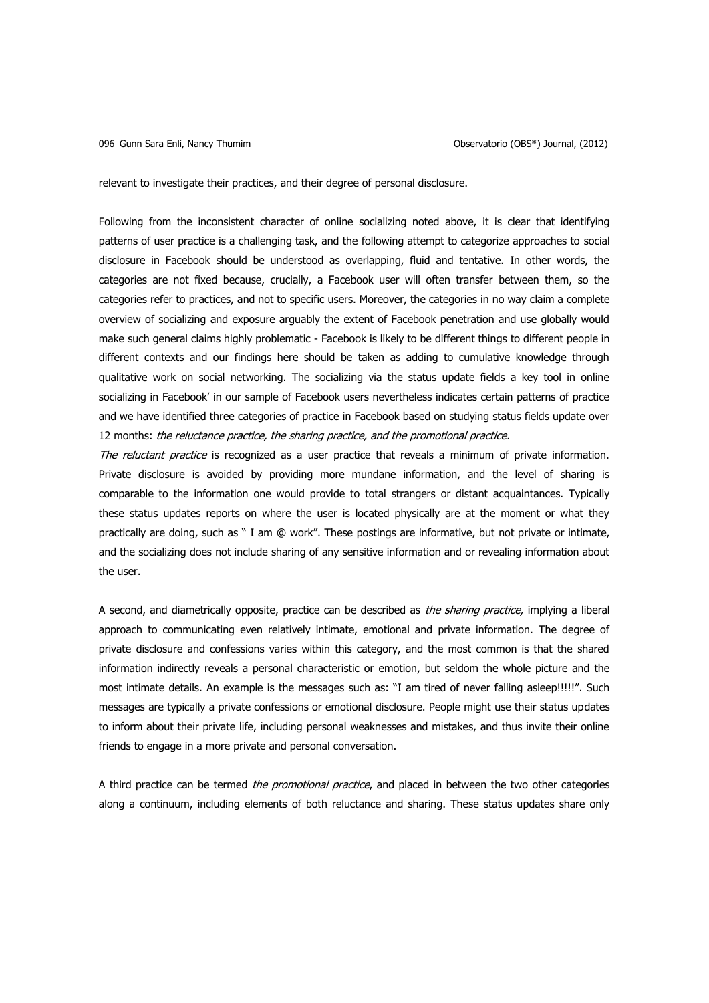relevant to investigate their practices, and their degree of personal disclosure.

Following from the inconsistent character of online socializing noted above, it is clear that identifying patterns of user practice is a challenging task, and the following attempt to categorize approaches to social disclosure in Facebook should be understood as overlapping, fluid and tentative. In other words, the categories are not fixed because, crucially, a Facebook user will often transfer between them, so the categories refer to practices, and not to specific users. Moreover, the categories in no way claim a complete overview of socializing and exposure arguably the extent of Facebook penetration and use globally would make such general claims highly problematic - Facebook is likely to be different things to different people in different contexts and our findings here should be taken as adding to cumulative knowledge through qualitative work on social networking. The socializing via the status update fields a key tool in online socializing in Facebook' in our sample of Facebook users nevertheless indicates certain patterns of practice and we have identified three categories of practice in Facebook based on studying status fields update over 12 months: the reluctance practice, the sharing practice, and the promotional practice.

The reluctant practice is recognized as a user practice that reveals a minimum of private information. Private disclosure is avoided by providing more mundane information, and the level of sharing is comparable to the information one would provide to total strangers or distant acquaintances. Typically these status updates reports on where the user is located physically are at the moment or what they practically are doing, such as " I am @ work". These postings are informative, but not private or intimate, and the socializing does not include sharing of any sensitive information and or revealing information about the user.

A second, and diametrically opposite, practice can be described as *the sharing practice*, implying a liberal approach to communicating even relatively intimate, emotional and private information. The degree of private disclosure and confessions varies within this category, and the most common is that the shared information indirectly reveals a personal characteristic or emotion, but seldom the whole picture and the most intimate details. An example is the messages such as: "I am tired of never falling asleep!!!!!". Such messages are typically a private confessions or emotional disclosure. People might use their status updates to inform about their private life, including personal weaknesses and mistakes, and thus invite their online friends to engage in a more private and personal conversation.

A third practice can be termed *the promotional practice*, and placed in between the two other categories along a continuum, including elements of both reluctance and sharing. These status updates share only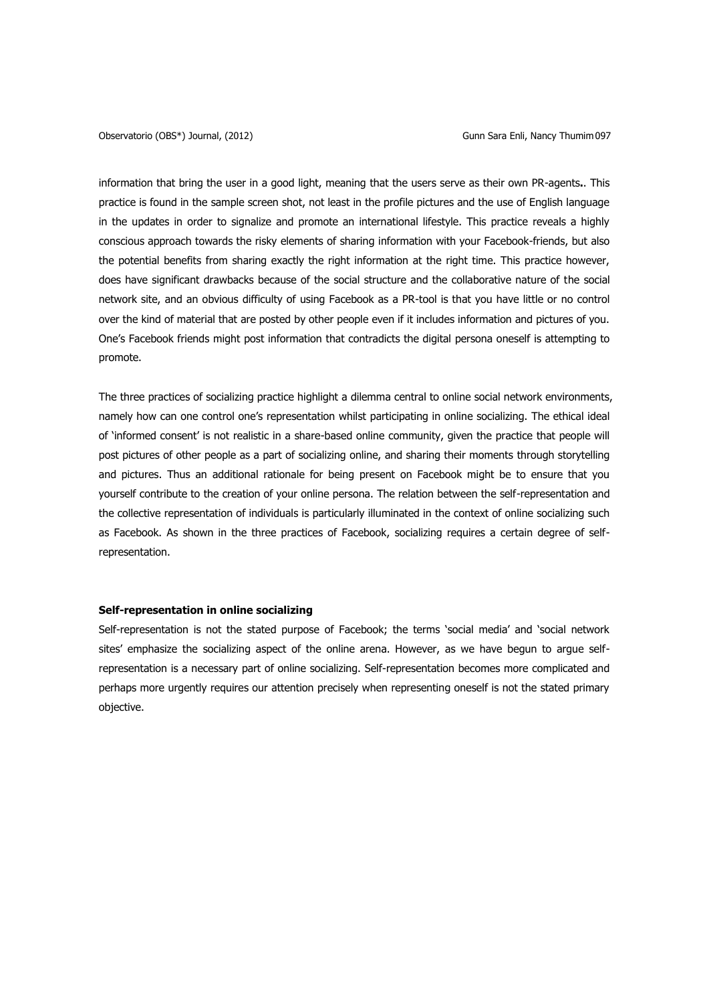information that bring the user in a good light, meaning that the users serve as their own PR-agents**.**. This practice is found in the sample screen shot, not least in the profile pictures and the use of English language in the updates in order to signalize and promote an international lifestyle. This practice reveals a highly conscious approach towards the risky elements of sharing information with your Facebook-friends, but also the potential benefits from sharing exactly the right information at the right time. This practice however, does have significant drawbacks because of the social structure and the collaborative nature of the social network site, and an obvious difficulty of using Facebook as a PR-tool is that you have little or no control over the kind of material that are posted by other people even if it includes information and pictures of you. One's Facebook friends might post information that contradicts the digital persona oneself is attempting to promote.

The three practices of socializing practice highlight a dilemma central to online social network environments, namely how can one control one's representation whilst participating in online socializing. The ethical ideal of 'informed consent' is not realistic in a share-based online community, given the practice that people will post pictures of other people as a part of socializing online, and sharing their moments through storytelling and pictures. Thus an additional rationale for being present on Facebook might be to ensure that you yourself contribute to the creation of your online persona. The relation between the self-representation and the collective representation of individuals is particularly illuminated in the context of online socializing such as Facebook. As shown in the three practices of Facebook, socializing requires a certain degree of selfrepresentation.

### **Self-representation in online socializing**

Self-representation is not the stated purpose of Facebook; the terms 'social media' and 'social network sites' emphasize the socializing aspect of the online arena. However, as we have begun to argue selfrepresentation is a necessary part of online socializing. Self-representation becomes more complicated and perhaps more urgently requires our attention precisely when representing oneself is not the stated primary objective.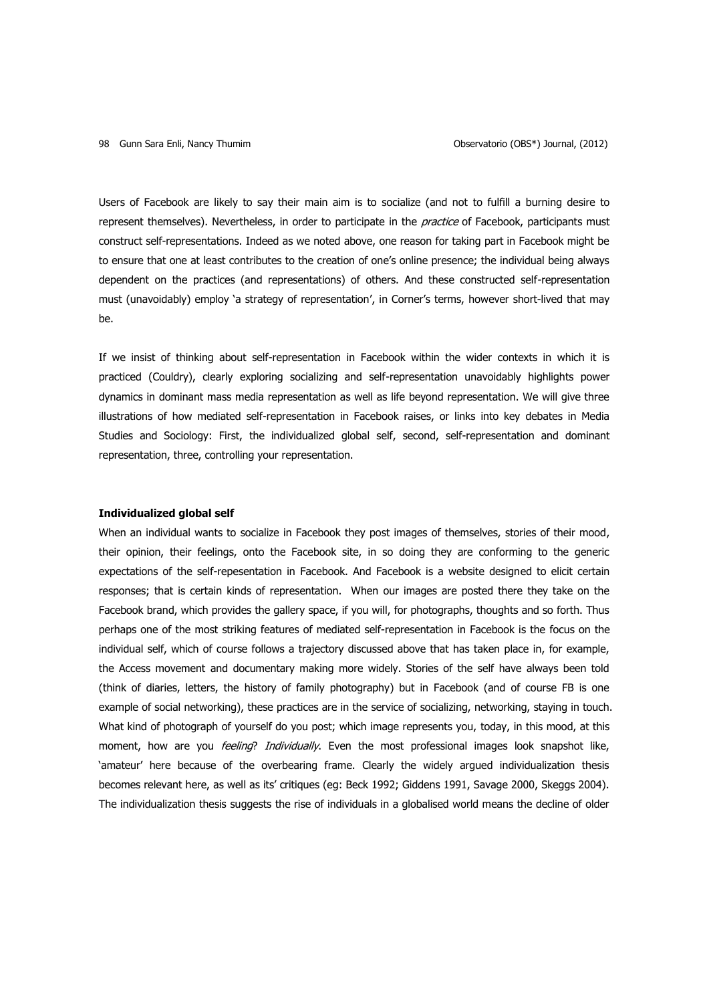Users of Facebook are likely to say their main aim is to socialize (and not to fulfill a burning desire to represent themselves). Nevertheless, in order to participate in the *practice* of Facebook, participants must construct self-representations. Indeed as we noted above, one reason for taking part in Facebook might be to ensure that one at least contributes to the creation of one's online presence; the individual being always dependent on the practices (and representations) of others. And these constructed self-representation must (unavoidably) employ 'a strategy of representation', in Corner's terms, however short-lived that may be.

If we insist of thinking about self-representation in Facebook within the wider contexts in which it is practiced (Couldry), clearly exploring socializing and self-representation unavoidably highlights power dynamics in dominant mass media representation as well as life beyond representation. We will give three illustrations of how mediated self-representation in Facebook raises, or links into key debates in Media Studies and Sociology: First, the individualized global self, second, self-representation and dominant representation, three, controlling your representation.

## **Individualized global self**

When an individual wants to socialize in Facebook they post images of themselves, stories of their mood, their opinion, their feelings, onto the Facebook site, in so doing they are conforming to the generic expectations of the self-repesentation in Facebook. And Facebook is a website designed to elicit certain responses; that is certain kinds of representation. When our images are posted there they take on the Facebook brand, which provides the gallery space, if you will, for photographs, thoughts and so forth. Thus perhaps one of the most striking features of mediated self-representation in Facebook is the focus on the individual self, which of course follows a trajectory discussed above that has taken place in, for example, the Access movement and documentary making more widely. Stories of the self have always been told (think of diaries, letters, the history of family photography) but in Facebook (and of course FB is one example of social networking), these practices are in the service of socializing, networking, staying in touch. What kind of photograph of yourself do you post; which image represents you, today, in this mood, at this moment, how are you *feeling? Individually*. Even the most professional images look snapshot like, 'amateur' here because of the overbearing frame. Clearly the widely argued individualization thesis becomes relevant here, as well as its' critiques (eg: Beck 1992; Giddens 1991, Savage 2000, Skeggs 2004). The individualization thesis suggests the rise of individuals in a globalised world means the decline of older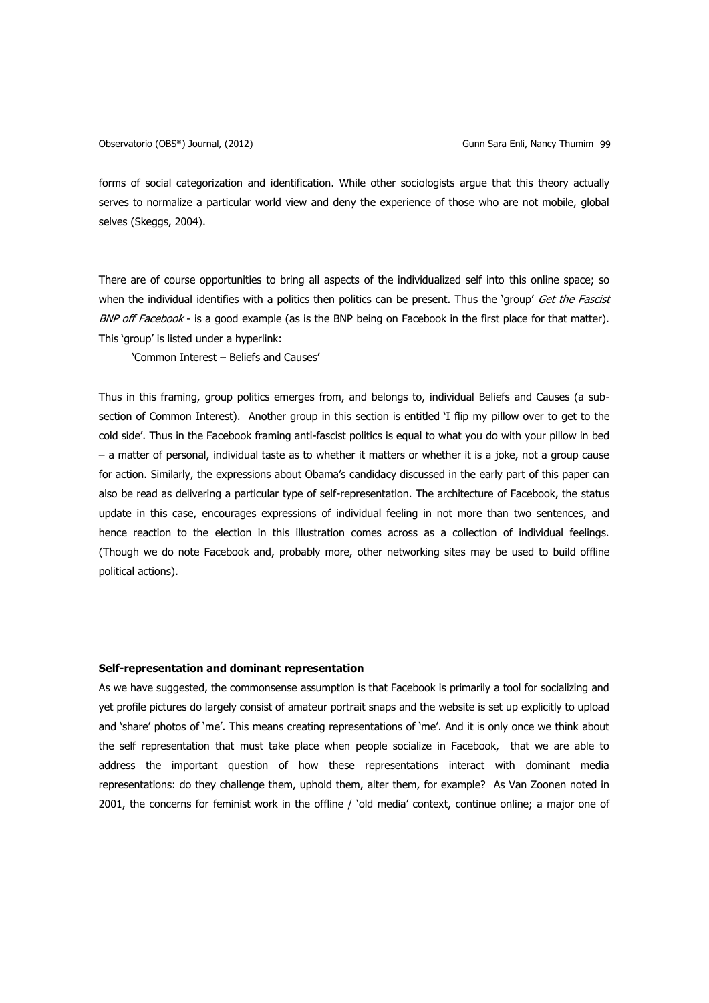forms of social categorization and identification. While other sociologists argue that this theory actually serves to normalize a particular world view and deny the experience of those who are not mobile, global selves (Skeggs, 2004).

There are of course opportunities to bring all aspects of the individualized self into this online space; so when the individual identifies with a politics then politics can be present. Thus the 'group' Get the Fascist BNP off Facebook - is a good example (as is the BNP being on Facebook in the first place for that matter). This 'group' is listed under a hyperlink:

'Common Interest – Beliefs and Causes'

Thus in this framing, group politics emerges from, and belongs to, individual Beliefs and Causes (a subsection of Common Interest). Another group in this section is entitled 'I flip my pillow over to get to the cold side'. Thus in the Facebook framing anti-fascist politics is equal to what you do with your pillow in bed – a matter of personal, individual taste as to whether it matters or whether it is a joke, not a group cause for action. Similarly, the expressions about Obama's candidacy discussed in the early part of this paper can also be read as delivering a particular type of self-representation. The architecture of Facebook, the status update in this case, encourages expressions of individual feeling in not more than two sentences, and hence reaction to the election in this illustration comes across as a collection of individual feelings. (Though we do note Facebook and, probably more, other networking sites may be used to build offline political actions).

### **Self-representation and dominant representation**

As we have suggested, the commonsense assumption is that Facebook is primarily a tool for socializing and yet profile pictures do largely consist of amateur portrait snaps and the website is set up explicitly to upload and 'share' photos of 'me'. This means creating representations of 'me'. And it is only once we think about the self representation that must take place when people socialize in Facebook, that we are able to address the important question of how these representations interact with dominant media representations: do they challenge them, uphold them, alter them, for example? As Van Zoonen noted in 2001, the concerns for feminist work in the offline / 'old media' context, continue online; a major one of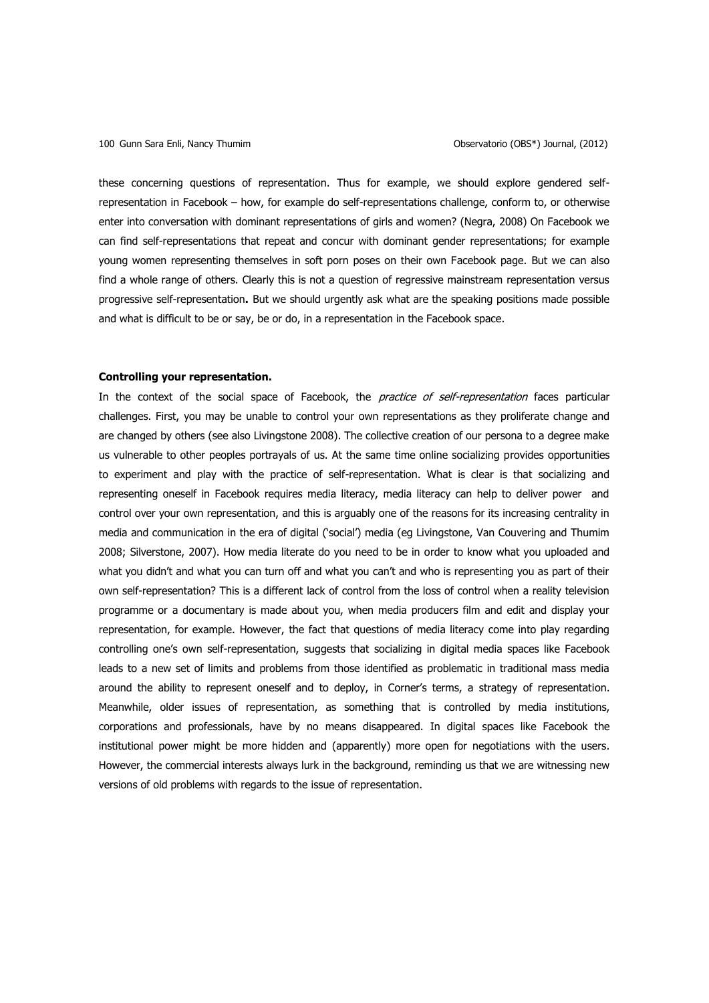these concerning questions of representation. Thus for example, we should explore gendered selfrepresentation in Facebook – how, for example do self-representations challenge, conform to, or otherwise enter into conversation with dominant representations of girls and women? (Negra, 2008) On Facebook we can find self-representations that repeat and concur with dominant gender representations; for example young women representing themselves in soft porn poses on their own Facebook page. But we can also find a whole range of others. Clearly this is not a question of regressive mainstream representation versus progressive self-representation**.** But we should urgently ask what are the speaking positions made possible and what is difficult to be or say, be or do, in a representation in the Facebook space.

#### **Controlling your representation.**

In the context of the social space of Facebook, the *practice of self-representation* faces particular challenges. First, you may be unable to control your own representations as they proliferate change and are changed by others (see also Livingstone 2008). The collective creation of our persona to a degree make us vulnerable to other peoples portrayals of us. At the same time online socializing provides opportunities to experiment and play with the practice of self-representation. What is clear is that socializing and representing oneself in Facebook requires media literacy, media literacy can help to deliver power and control over your own representation, and this is arguably one of the reasons for its increasing centrality in media and communication in the era of digital ('social') media (eg Livingstone, Van Couvering and Thumim 2008; Silverstone, 2007). How media literate do you need to be in order to know what you uploaded and what you didn't and what you can turn off and what you can't and who is representing you as part of their own self-representation? This is a different lack of control from the loss of control when a reality television programme or a documentary is made about you, when media producers film and edit and display your representation, for example. However, the fact that questions of media literacy come into play regarding controlling one's own self-representation, suggests that socializing in digital media spaces like Facebook leads to a new set of limits and problems from those identified as problematic in traditional mass media around the ability to represent oneself and to deploy, in Corner's terms, a strategy of representation. Meanwhile, older issues of representation, as something that is controlled by media institutions, corporations and professionals, have by no means disappeared. In digital spaces like Facebook the institutional power might be more hidden and (apparently) more open for negotiations with the users. However, the commercial interests always lurk in the background, reminding us that we are witnessing new versions of old problems with regards to the issue of representation.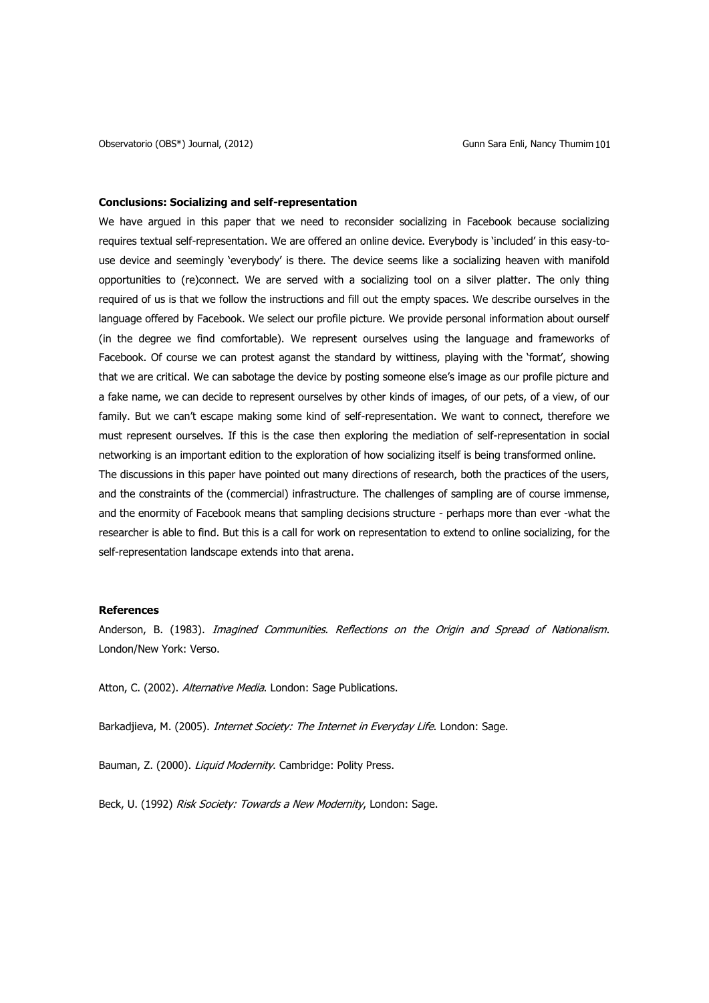### **Conclusions: Socializing and self-representation**

We have argued in this paper that we need to reconsider socializing in Facebook because socializing requires textual self-representation. We are offered an online device. Everybody is 'included' in this easy-touse device and seemingly 'everybody' is there. The device seems like a socializing heaven with manifold opportunities to (re)connect. We are served with a socializing tool on a silver platter. The only thing required of us is that we follow the instructions and fill out the empty spaces. We describe ourselves in the language offered by Facebook. We select our profile picture. We provide personal information about ourself (in the degree we find comfortable). We represent ourselves using the language and frameworks of Facebook. Of course we can protest aganst the standard by wittiness, playing with the 'format', showing that we are critical. We can sabotage the device by posting someone else's image as our profile picture and a fake name, we can decide to represent ourselves by other kinds of images, of our pets, of a view, of our family. But we can't escape making some kind of self-representation. We want to connect, therefore we must represent ourselves. If this is the case then exploring the mediation of self-representation in social networking is an important edition to the exploration of how socializing itself is being transformed online. The discussions in this paper have pointed out many directions of research, both the practices of the users, and the constraints of the (commercial) infrastructure. The challenges of sampling are of course immense, and the enormity of Facebook means that sampling decisions structure - perhaps more than ever -what the researcher is able to find. But this is a call for work on representation to extend to online socializing, for the self-representation landscape extends into that arena.

#### **References**

Anderson, B. (1983). Imagined Communities. Reflections on the Origin and Spread of Nationalism. London/New York: Verso.

Atton, C. (2002). Alternative Media. London: Sage Publications.

Barkadjieva, M. (2005). *Internet Society: The Internet in Everyday Life*. London: Sage.

Bauman, Z. (2000). *Liquid Modernity*. Cambridge: Polity Press.

Beck, U. (1992) Risk Society: Towards a New Modernity, London: Sage.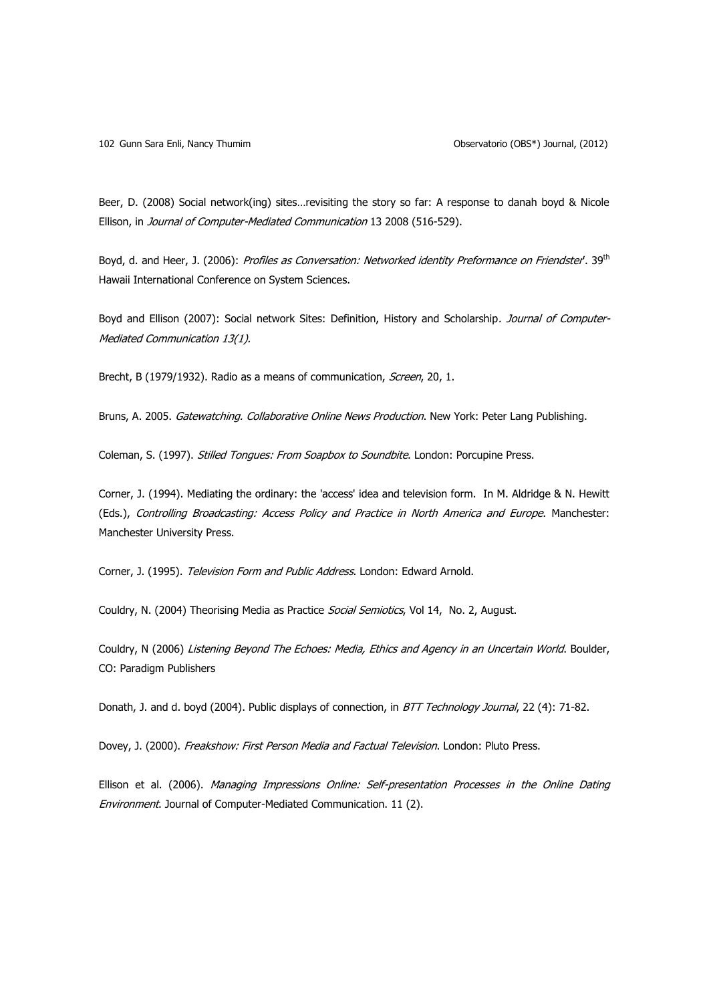Beer, D. (2008) Social network(ing) sites…revisiting the story so far: A response to danah boyd & Nicole Ellison, in Journal of Computer-Mediated Communication 13 2008 (516-529).

Boyd, d. and Heer, J. (2006): Profiles as Conversation: Networked identity Preformance on Friendster<sup>t</sup>. 39<sup>th</sup> Hawaii International Conference on System Sciences.

Boyd and Ellison (2007): Social network Sites: Definition, History and Scholarship. Journal of Computer-Mediated Communication 13(1).

Brecht, B (1979/1932). Radio as a means of communication, Screen, 20, 1.

Bruns, A. 2005. Gatewatching. Collaborative Online News Production. New York: Peter Lang Publishing.

Coleman, S. (1997). Stilled Tongues: From Soapbox to Soundbite. London: Porcupine Press.

Corner, J. (1994). Mediating the ordinary: the 'access' idea and television form. In M. Aldridge & N. Hewitt (Eds.), Controlling Broadcasting: Access Policy and Practice in North America and Europe. Manchester: Manchester University Press.

Corner, J. (1995). Television Form and Public Address. London: Edward Arnold.

Couldry, N. (2004) Theorising Media as Practice Social Semiotics, Vol 14, No. 2, August.

Couldry, N (2006) Listening Beyond The Echoes: Media, Ethics and Agency in an Uncertain World. Boulder, CO: Paradigm Publishers

Donath, J. and d. boyd (2004). Public displays of connection, in BTT Technology Journal, 22 (4): 71-82.

Dovey, J. (2000). Freakshow: First Person Media and Factual Television. London: Pluto Press.

Ellison et al. (2006). Managing Impressions Online: Self-presentation Processes in the Online Dating Environment. Journal of Computer-Mediated Communication. 11 (2).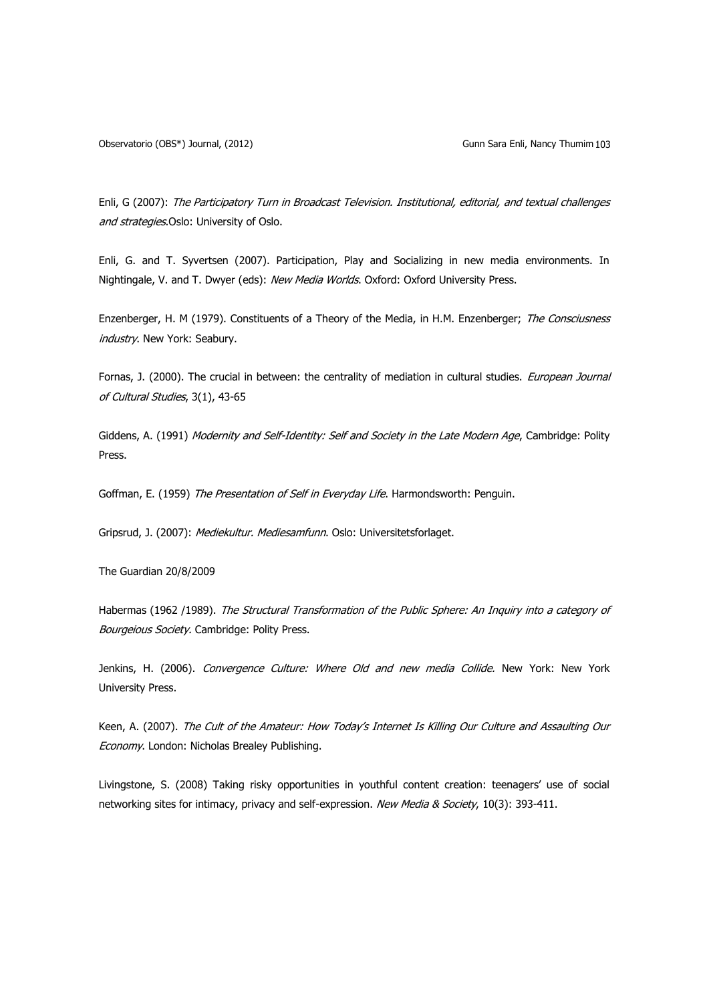Observatorio (OBS\*) Journal, (2012) Charles Company Gunn Sara Enli, Nancy Thumim 103

Enli, G (2007): The Participatory Turn in Broadcast Television. Institutional, editorial, and textual challenges and strategies.Oslo: University of Oslo.

Enli, G. and T. Syvertsen (2007). Participation, Play and Socializing in new media environments. In Nightingale, V. and T. Dwyer (eds): New Media Worlds. Oxford: Oxford University Press.

Enzenberger, H. M (1979). Constituents of a Theory of the Media, in H.M. Enzenberger; The Consciusness industry. New York: Seabury.

Fornas, J. (2000). The crucial in between: the centrality of mediation in cultural studies. *European Journal* of Cultural Studies, 3(1), 43-65

Giddens, A. (1991) Modernity and Self-Identity: Self and Society in the Late Modern Age, Cambridge: Polity Press.

Goffman, E. (1959) The Presentation of Self in Everyday Life. Harmondsworth: Penguin.

Gripsrud, J. (2007): Mediekultur. Mediesamfunn. Oslo: Universitetsforlaget.

The Guardian 20/8/2009

Habermas (1962 /1989). The Structural Transformation of the Public Sphere: An Inquiry into a category of Bourgeious Society. Cambridge: Polity Press.

Jenkins, H. (2006). Convergence Culture: Where Old and new media Collide. New York: New York University Press.

Keen, A. (2007). The Cult of the Amateur: How Today's Internet Is Killing Our Culture and Assaulting Our Economy. London: Nicholas Brealey Publishing.

Livingstone, S. (2008) Taking risky opportunities in youthful content creation: teenagers' use of social networking sites for intimacy, privacy and self-expression. New Media & Society, 10(3): 393-411.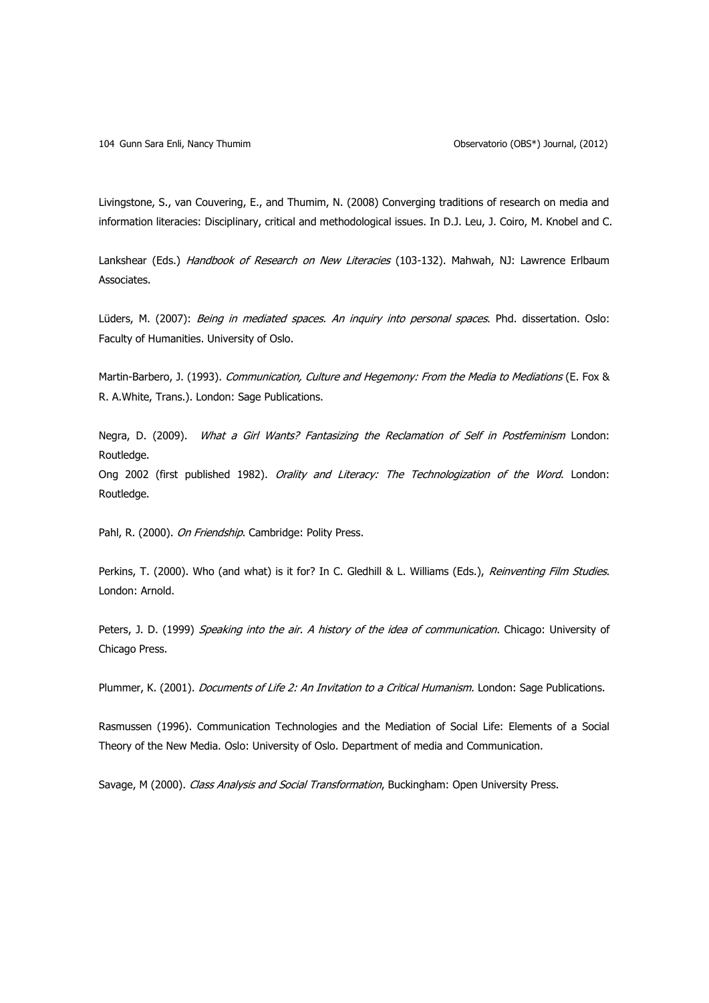Livingstone, S., van Couvering, E., and Thumim, N. (2008) Converging traditions of research on media and information literacies: Disciplinary, critical and methodological issues. In D.J. Leu, J. Coiro, M. Knobel and C.

Lankshear (Eds.) Handbook of Research on New Literacies (103-132). Mahwah, NJ: Lawrence Erlbaum Associates.

Lüders, M. (2007): Being in mediated spaces. An inquiry into personal spaces. Phd. dissertation. Oslo: Faculty of Humanities. University of Oslo.

Martin-Barbero, J. (1993). Communication, Culture and Hegemony: From the Media to Mediations (E. Fox & R. A.White, Trans.). London: Sage Publications.

Negra, D. (2009). What a Girl Wants? Fantasizing the Reclamation of Self in Postfeminism London: Routledge.

Ong 2002 (first published 1982). Orality and Literacy: The Technologization of the Word. London: Routledge.

Pahl, R. (2000). On Friendship. Cambridge: Polity Press.

Perkins, T. (2000). Who (and what) is it for? In C. Gledhill & L. Williams (Eds.), Reinventing Film Studies. London: Arnold.

Peters, J. D. (1999) Speaking into the air. A history of the idea of communication. Chicago: University of Chicago Press.

Plummer, K. (2001). *Documents of Life 2: An Invitation to a Critical Humanism*. London: Sage Publications.

Rasmussen (1996). Communication Technologies and the Mediation of Social Life: Elements of a Social Theory of the New Media. Oslo: University of Oslo. Department of media and Communication.

Savage, M (2000). Class Analysis and Social Transformation, Buckingham: Open University Press.